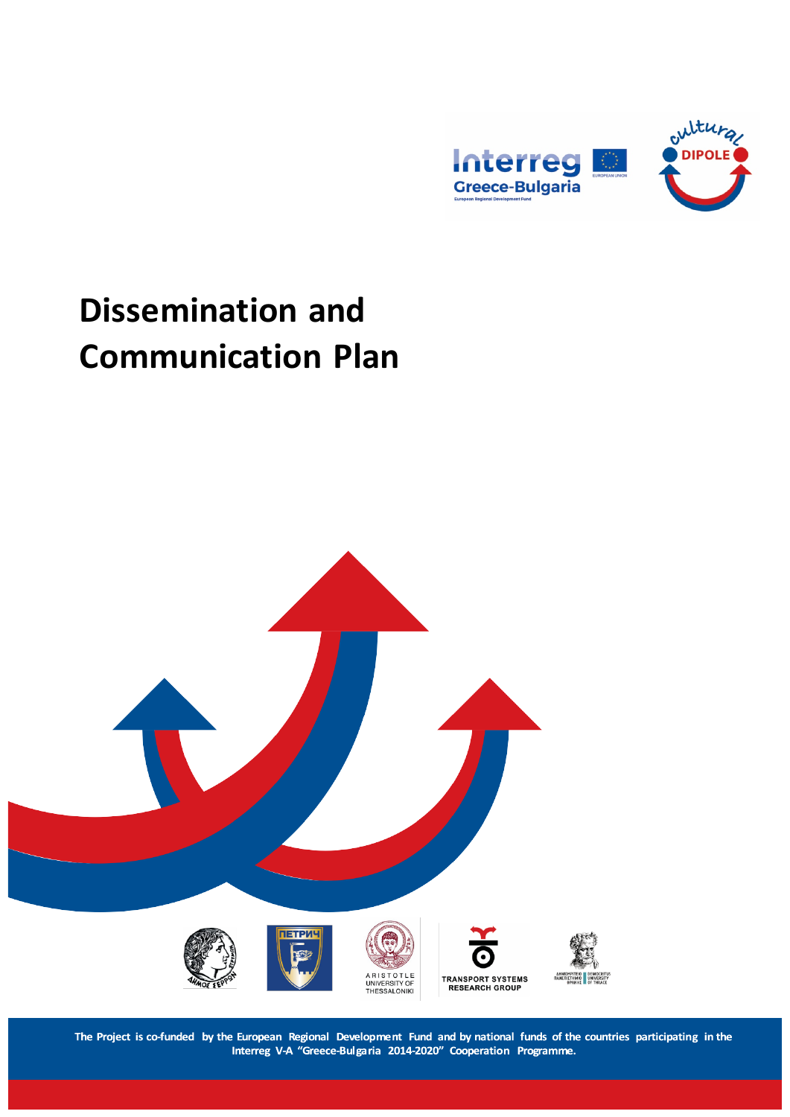

# **Dissemination and Communication Plan**



The Project is co-funded by the European Regional Development Fund and by national funds of the countries participating in the<br>Interreg V-A "Greece-Bulgaria 2014-2020" Cooperation Programme.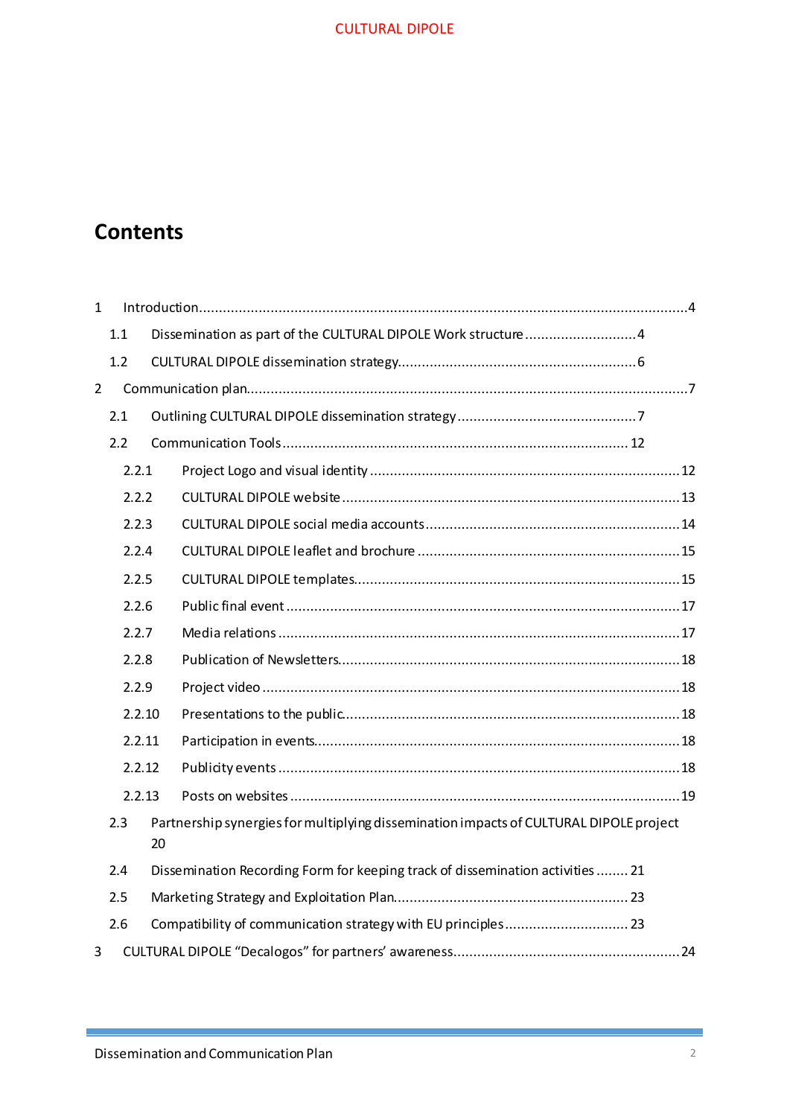# **Contents**

| $\mathbf{1}$   |                                                                                                     |  |                                                                                |  |  |
|----------------|-----------------------------------------------------------------------------------------------------|--|--------------------------------------------------------------------------------|--|--|
|                | 1.1                                                                                                 |  | Dissemination as part of the CULTURAL DIPOLE Work structure 4                  |  |  |
|                | 1.2                                                                                                 |  |                                                                                |  |  |
| $\overline{2}$ |                                                                                                     |  |                                                                                |  |  |
|                | 2.1                                                                                                 |  |                                                                                |  |  |
|                | 2.2                                                                                                 |  |                                                                                |  |  |
|                | 2.2.1                                                                                               |  |                                                                                |  |  |
|                | 2.2.2                                                                                               |  |                                                                                |  |  |
|                | 2.2.3                                                                                               |  |                                                                                |  |  |
|                | 2.2.4                                                                                               |  |                                                                                |  |  |
|                | 2.2.5                                                                                               |  |                                                                                |  |  |
|                | 2.2.6                                                                                               |  |                                                                                |  |  |
|                | 2.2.7                                                                                               |  |                                                                                |  |  |
|                | 2.2.8                                                                                               |  |                                                                                |  |  |
|                | 2.2.9                                                                                               |  |                                                                                |  |  |
|                | 2.2.10                                                                                              |  |                                                                                |  |  |
|                | 2.2.11                                                                                              |  |                                                                                |  |  |
|                | 2.2.12                                                                                              |  |                                                                                |  |  |
|                | 2.2.13                                                                                              |  |                                                                                |  |  |
|                | Partnership synergies for multiplying dissemination impacts of CULTURAL DIPOLE project<br>2.3<br>20 |  |                                                                                |  |  |
|                | 2.4                                                                                                 |  | Dissemination Recording Form for keeping track of dissemination activities  21 |  |  |
|                | 2.5                                                                                                 |  |                                                                                |  |  |
|                | 2.6                                                                                                 |  |                                                                                |  |  |
| 3              |                                                                                                     |  |                                                                                |  |  |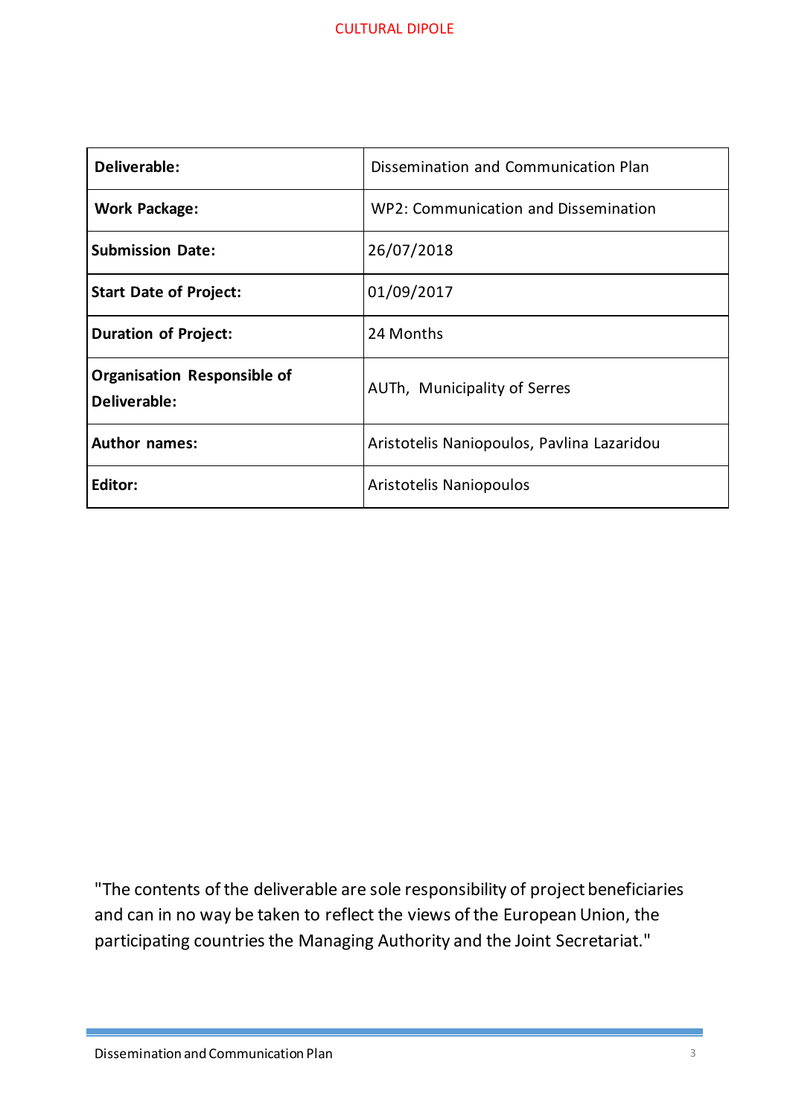| Deliverable:                                       | Dissemination and Communication Plan       |  |
|----------------------------------------------------|--------------------------------------------|--|
| <b>Work Package:</b>                               | WP2: Communication and Dissemination       |  |
| <b>Submission Date:</b>                            | 26/07/2018                                 |  |
| <b>Start Date of Project:</b>                      | 01/09/2017                                 |  |
| <b>Duration of Project:</b>                        | 24 Months                                  |  |
| <b>Organisation Responsible of</b><br>Deliverable: | AUTh, Municipality of Serres               |  |
| <b>Author names:</b>                               | Aristotelis Naniopoulos, Pavlina Lazaridou |  |
| <b>Editor:</b>                                     | Aristotelis Naniopoulos                    |  |

"The contents of the deliverable are sole responsibility of project beneficiaries and can in no way be taken to reflect the views of the European Union, the participating countries the Managing Authority and the Joint Secretariat."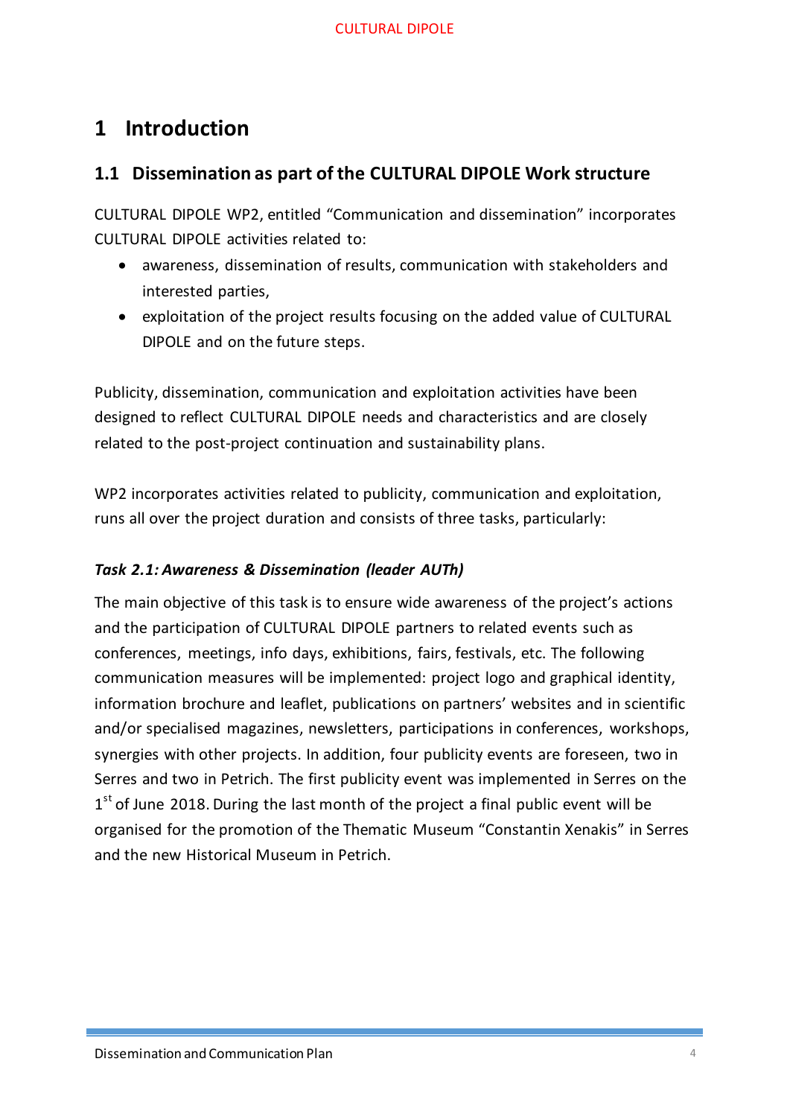# <span id="page-3-0"></span>**1 Introduction**

# <span id="page-3-1"></span>**1.1 Dissemination as part of the CULTURAL DIPOLE Work structure**

CULTURAL DIPOLE WP2, entitled "Communication and dissemination" incorporates CULTURAL DIPOLE activities related to:

- awareness, dissemination of results, communication with stakeholders and interested parties,
- exploitation of the project results focusing on the added value of CULTURAL DIPOLE and on the future steps.

Publicity, dissemination, communication and exploitation activities have been designed to reflect CULTURAL DIPOLE needs and characteristics and are closely related to the post-project continuation and sustainability plans.

WP2 incorporates activities related to publicity, communication and exploitation, runs all over the project duration and consists of three tasks, particularly:

## *Task 2.1: Awareness & Dissemination (leader AUTh)*

The main objective of this task is to ensure wide awareness of the project's actions and the participation of CULTURAL DIPOLE partners to related events such as conferences, meetings, info days, exhibitions, fairs, festivals, etc. The following communication measures will be implemented: project logo and graphical identity, information brochure and leaflet, publications on partners' websites and in scientific and/or specialised magazines, newsletters, participations in conferences, workshops, synergies with other projects. In addition, four publicity events are foreseen, two in Serres and two in Petrich. The first publicity event was implemented in Serres on the  $1<sup>st</sup>$  of June 2018. During the last month of the project a final public event will be organised for the promotion of the Thematic Museum "Constantin Xenakis" in Serres and the new Historical Museum in Petrich.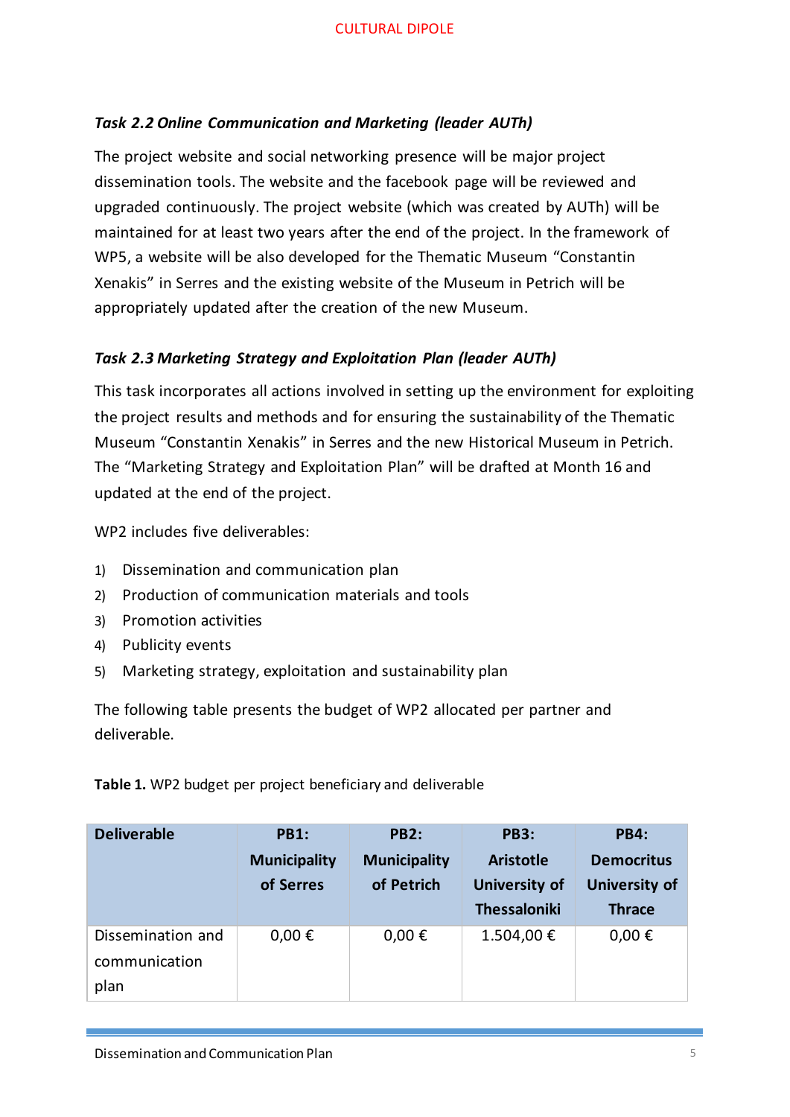## *Task 2.2 Online Communication and Marketing (leader AUTh)*

The project website and social networking presence will be major project dissemination tools. The website and the facebook page will be reviewed and upgraded continuously. The project website (which was created by AUTh) will be maintained for at least two years after the end of the project. In the framework of WP5, a website will be also developed for the Thematic Museum "Constantin Xenakis" in Serres and the existing website of the Museum in Petrich will be appropriately updated after the creation of the new Museum.

#### *Task 2.3 Marketing Strategy and Exploitation Plan (leader AUTh)*

This task incorporates all actions involved in setting up the environment for exploiting the project results and methods and for ensuring the sustainability of the Thematic Museum "Constantin Xenakis" in Serres and the new Historical Museum in Petrich. The "Marketing Strategy and Exploitation Plan" will be drafted at Month 16 and updated at the end of the project.

WP2 includes five deliverables:

- 1) Dissemination and communication plan
- 2) Production of communication materials and tools
- 3) Promotion activities
- 4) Publicity events
- 5) Marketing strategy, exploitation and sustainability plan

The following table presents the budget of WP2 allocated per partner and deliverable.

**Table 1.** WP2 budget per project beneficiary and deliverable

| <b>Deliverable</b> | <b>PB1:</b>         | <b>PB2:</b>         | <b>PB3:</b>          | <b>PB4:</b>          |
|--------------------|---------------------|---------------------|----------------------|----------------------|
|                    | <b>Municipality</b> | <b>Municipality</b> | <b>Aristotle</b>     | <b>Democritus</b>    |
|                    | of Serres           | of Petrich          | <b>University of</b> | <b>University of</b> |
|                    |                     |                     | <b>Thessaloniki</b>  | <b>Thrace</b>        |
| Dissemination and  | $0,00 \in$          | $0,00 \in$          | 1.504,00€            | $0,00 \in$           |
| communication      |                     |                     |                      |                      |
| plan               |                     |                     |                      |                      |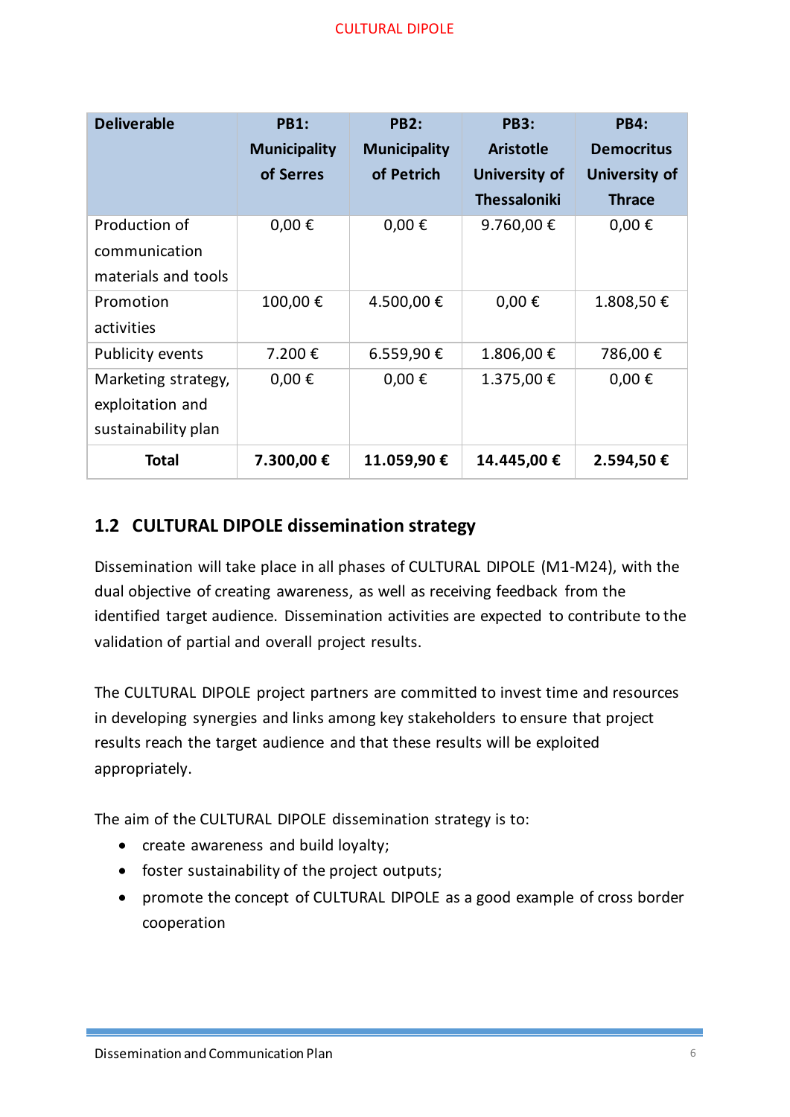| <b>Deliverable</b>      | <b>PB1:</b>         | <b>PB2:</b>         | <b>PB3:</b>         | <b>PB4:</b>          |
|-------------------------|---------------------|---------------------|---------------------|----------------------|
|                         | <b>Municipality</b> | <b>Municipality</b> | <b>Aristotle</b>    | <b>Democritus</b>    |
|                         | of Serres           | of Petrich          | University of       | <b>University of</b> |
|                         |                     |                     | <b>Thessaloniki</b> | <b>Thrace</b>        |
| Production of           | $0,00 \in$          | $0,00 \in$          | 9.760,00€           | $0,00 \in$           |
| communication           |                     |                     |                     |                      |
| materials and tools     |                     |                     |                     |                      |
| Promotion               | 100,00€             | 4.500,00€           | $0,00 \in$          | 1.808,50€            |
| activities              |                     |                     |                     |                      |
| <b>Publicity events</b> | 7.200€              | 6.559,90€           | 1.806,00€           | 786,00€              |
| Marketing strategy,     | $0,00 \in$          | $0,00 \in$          | 1.375,00 €          | $0,00 \in$           |
| exploitation and        |                     |                     |                     |                      |
| sustainability plan     |                     |                     |                     |                      |
| <b>Total</b>            | 7.300,00 €          | 11.059,90 €         | 14.445,00 €         | 2.594,50 €           |

# <span id="page-5-0"></span>**1.2 CULTURAL DIPOLE dissemination strategy**

Dissemination will take place in all phases of CULTURAL DIPOLE (M1-M24), with the dual objective of creating awareness, as well as receiving feedback from the identified target audience. Dissemination activities are expected to contribute to the validation of partial and overall project results.

The CULTURAL DIPOLE project partners are committed to invest time and resources in developing synergies and links among key stakeholders to ensure that project results reach the target audience and that these results will be exploited appropriately.

The aim of the CULTURAL DIPOLE dissemination strategy is to:

- create awareness and build loyalty;
- foster sustainability of the project outputs;
- promote the concept of CULTURAL DIPOLE as a good example of cross border cooperation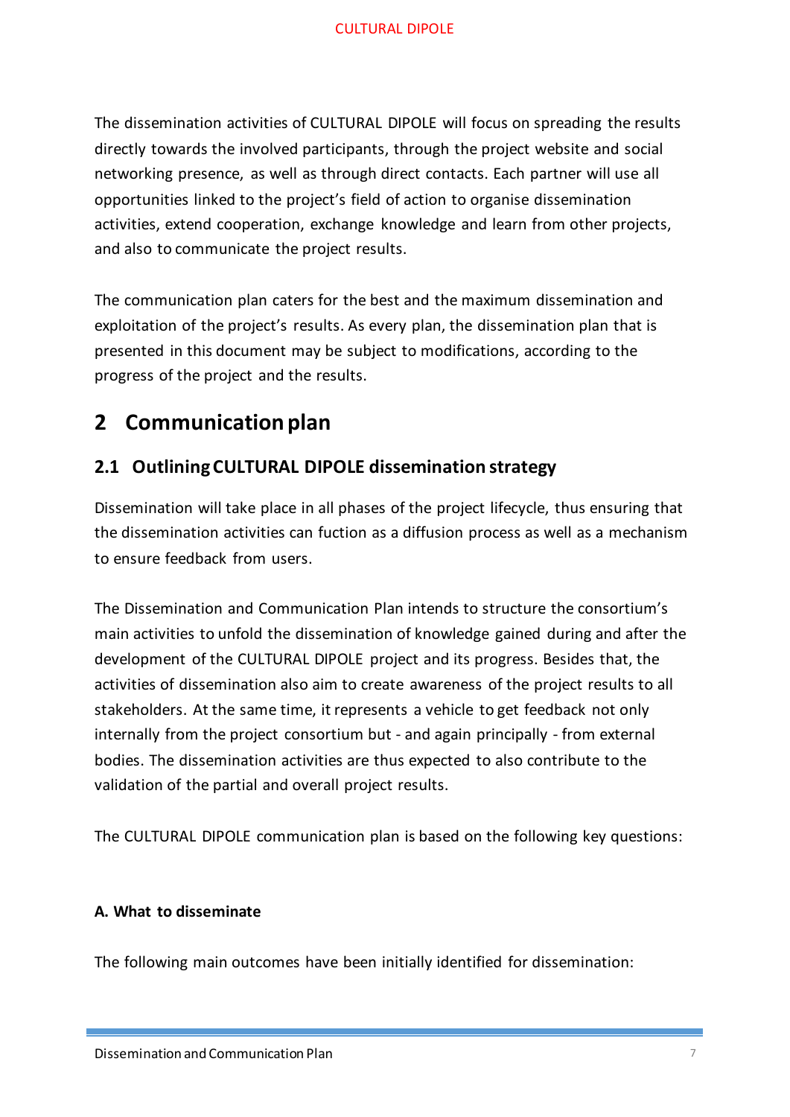The dissemination activities of CULTURAL DIPOLE will focus on spreading the results directly towards the involved participants, through the project website and social networking presence, as well as through direct contacts. Each partner will use all opportunities linked to the project's field of action to organise dissemination activities, extend cooperation, exchange knowledge and learn from other projects, and also to communicate the project results.

The communication plan caters for the best and the maximum dissemination and exploitation of the project's results. As every plan, the dissemination plan that is presented in this document may be subject to modifications, according to the progress of the project and the results.

# <span id="page-6-0"></span>**2 Communication plan**

# <span id="page-6-1"></span>**2.1 Outlining CULTURAL DIPOLE dissemination strategy**

Dissemination will take place in all phases of the project lifecycle, thus ensuring that the dissemination activities can fuction as a diffusion process as well as a mechanism to ensure feedback from users.

The Dissemination and Communication Plan intends to structure the consortium's main activities to unfold the dissemination of knowledge gained during and after the development of the CULTURAL DIPOLE project and its progress. Besides that, the activities of dissemination also aim to create awareness of the project results to all stakeholders. At the same time, it represents a vehicle to get feedback not only internally from the project consortium but - and again principally - from external bodies. The dissemination activities are thus expected to also contribute to the validation of the partial and overall project results.

The CULTURAL DIPOLE communication plan is based on the following key questions:

## **A. What to disseminate**

The following main outcomes have been initially identified for dissemination: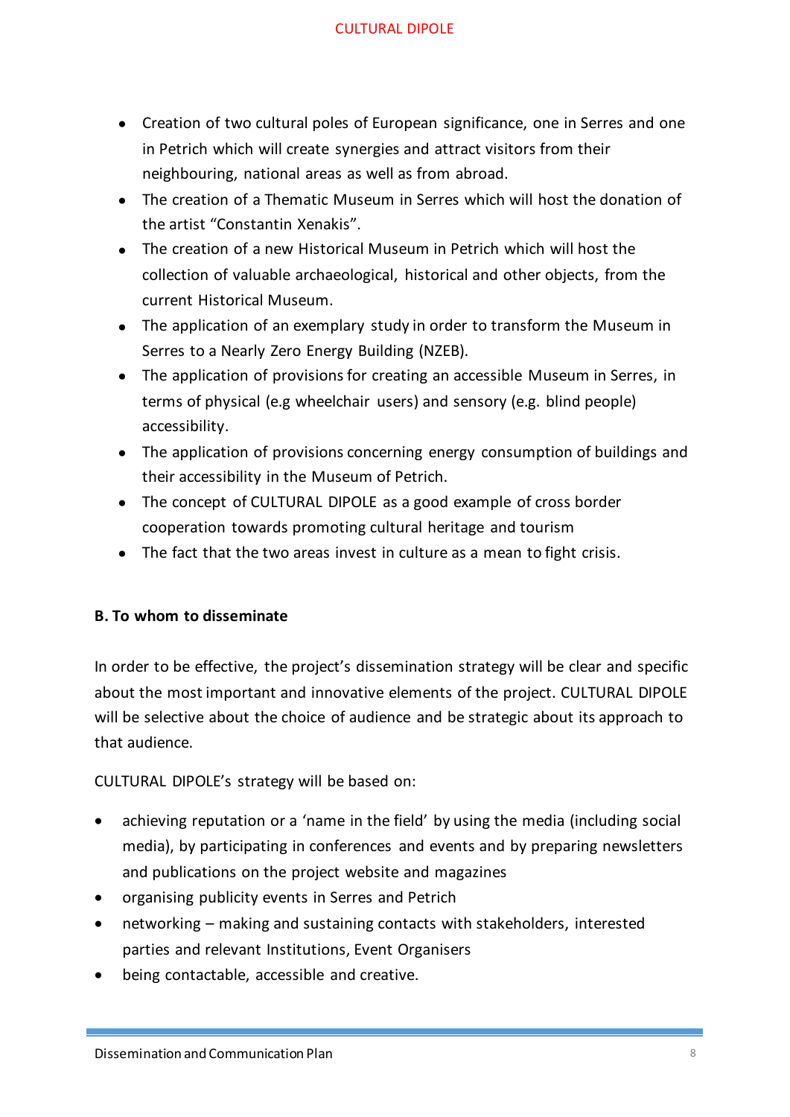- Creation of two cultural poles of European significance, one in Serres and one in Petrich which will create synergies and attract visitors from their neighbouring, national areas as well as from abroad.
- The creation of a Thematic Museum in Serres which will host the donation of the artist "Constantin Xenakis".
- The creation of a new Historical Museum in Petrich which will host the collection of valuable archaeological, historical and other objects, from the current Historical Museum.
- The application of an exemplary study in order to transform the Museum in Serres to a Nearly Zero Energy Building (NZEB).
- The application of provisions for creating an accessible Museum in Serres, in terms of physical (e.g wheelchair users) and sensory (e.g. blind people) accessibility.
- The application of provisions concerning energy consumption of buildings and their accessibility in the Museum of Petrich.
- The concept of CULTURAL DIPOLE as a good example of cross border cooperation towards promoting cultural heritage and tourism
- The fact that the two areas invest in culture as a mean to fight crisis.

## **B. To whom to disseminate**

In order to be effective, the project's dissemination strategy will be clear and specific about the most important and innovative elements of the project. CULTURAL DIPOLE will be selective about the choice of audience and be strategic about its approach to that audience.

CULTURAL DIPOLE's strategy will be based on:

- achieving reputation or a 'name in the field' by using the media (including social media), by participating in conferences and events and by preparing newsletters and publications on the project website and magazines
- organising publicity events in Serres and Petrich
- networking making and sustaining contacts with stakeholders, interested parties and relevant Institutions, Event Organisers
- being contactable, accessible and creative.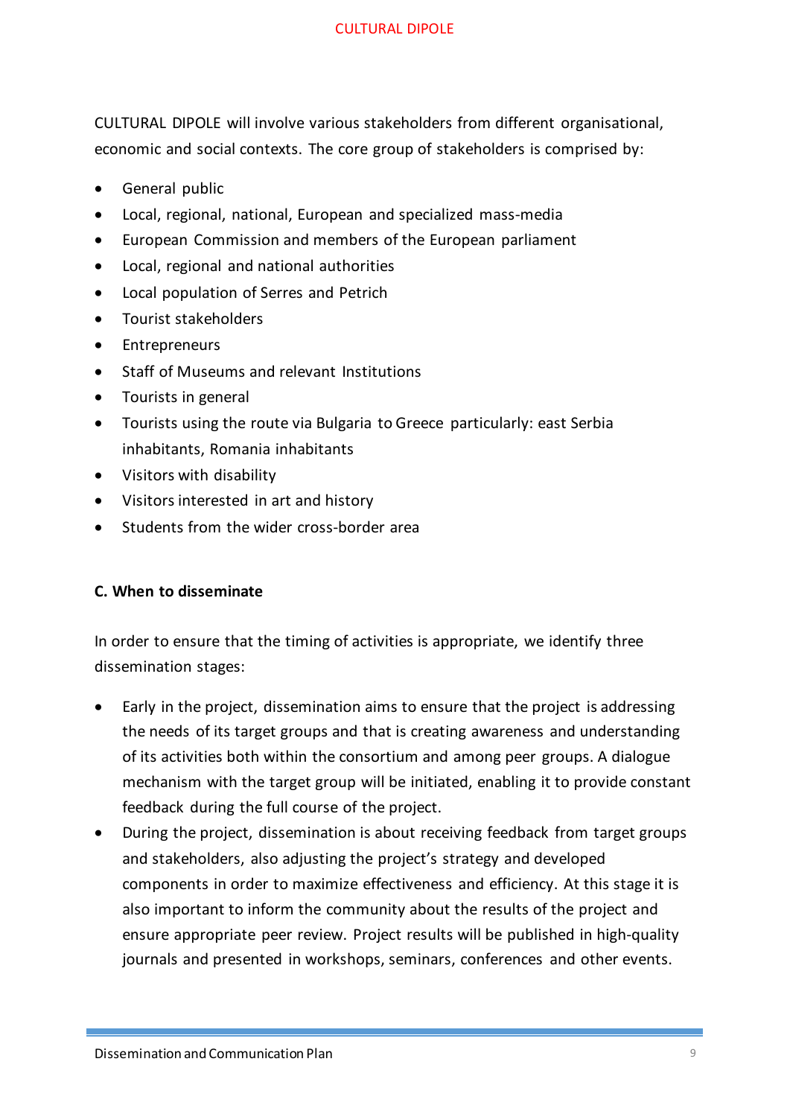CULTURAL DIPOLE will involve various stakeholders from different organisational, economic and social contexts. The core group of stakeholders is comprised by:

- General public
- Local, regional, national, European and specialized mass-media
- European Commission and members of the European parliament
- Local, regional and national authorities
- Local population of Serres and Petrich
- Tourist stakeholders
- Entrepreneurs
- Staff of Museums and relevant Institutions
- Tourists in general
- Tourists using the route via Bulgaria to Greece particularly: east Serbia inhabitants, Romania inhabitants
- Visitors with disability
- Visitors interested in art and history
- Students from the wider cross-border area

## **C. When to disseminate**

In order to ensure that the timing of activities is appropriate, we identify three dissemination stages:

- Early in the project, dissemination aims to ensure that the project is addressing the needs of its target groups and that is creating awareness and understanding of its activities both within the consortium and among peer groups. A dialogue mechanism with the target group will be initiated, enabling it to provide constant feedback during the full course of the project.
- During the project, dissemination is about receiving feedback from target groups and stakeholders, also adjusting the project's strategy and developed components in order to maximize effectiveness and efficiency. At this stage it is also important to inform the community about the results of the project and ensure appropriate peer review. Project results will be published in high-quality journals and presented in workshops, seminars, conferences and other events.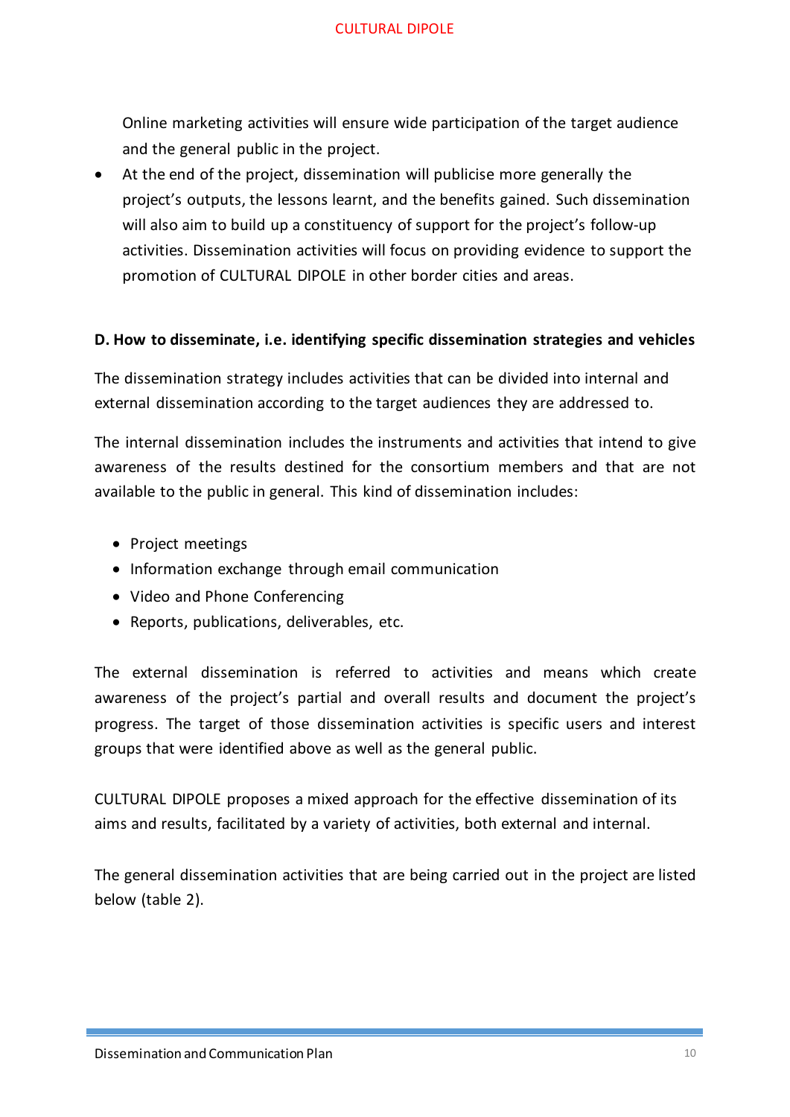Online marketing activities will ensure wide participation of the target audience and the general public in the project.

• At the end of the project, dissemination will publicise more generally the project's outputs, the lessons learnt, and the benefits gained. Such dissemination will also aim to build up a constituency of support for the project's follow-up activities. Dissemination activities will focus on providing evidence to support the promotion of CULTURAL DIPOLE in other border cities and areas.

#### **D. How to disseminate, i.e. identifying specific dissemination strategies and vehicles**

The dissemination strategy includes activities that can be divided into internal and external dissemination according to the target audiences they are addressed to.

The internal dissemination includes the instruments and activities that intend to give awareness of the results destined for the consortium members and that are not available to the public in general. This kind of dissemination includes:

- Project meetings
- Information exchange through email communication
- Video and Phone Conferencing
- Reports, publications, deliverables, etc.

The external dissemination is referred to activities and means which create awareness of the project's partial and overall results and document the project's progress. The target of those dissemination activities is specific users and interest groups that were identified above as well as the general public.

CULTURAL DIPOLE proposes a mixed approach for the effective dissemination of its aims and results, facilitated by a variety of activities, both external and internal.

The general dissemination activities that are being carried out in the project are listed below (table 2).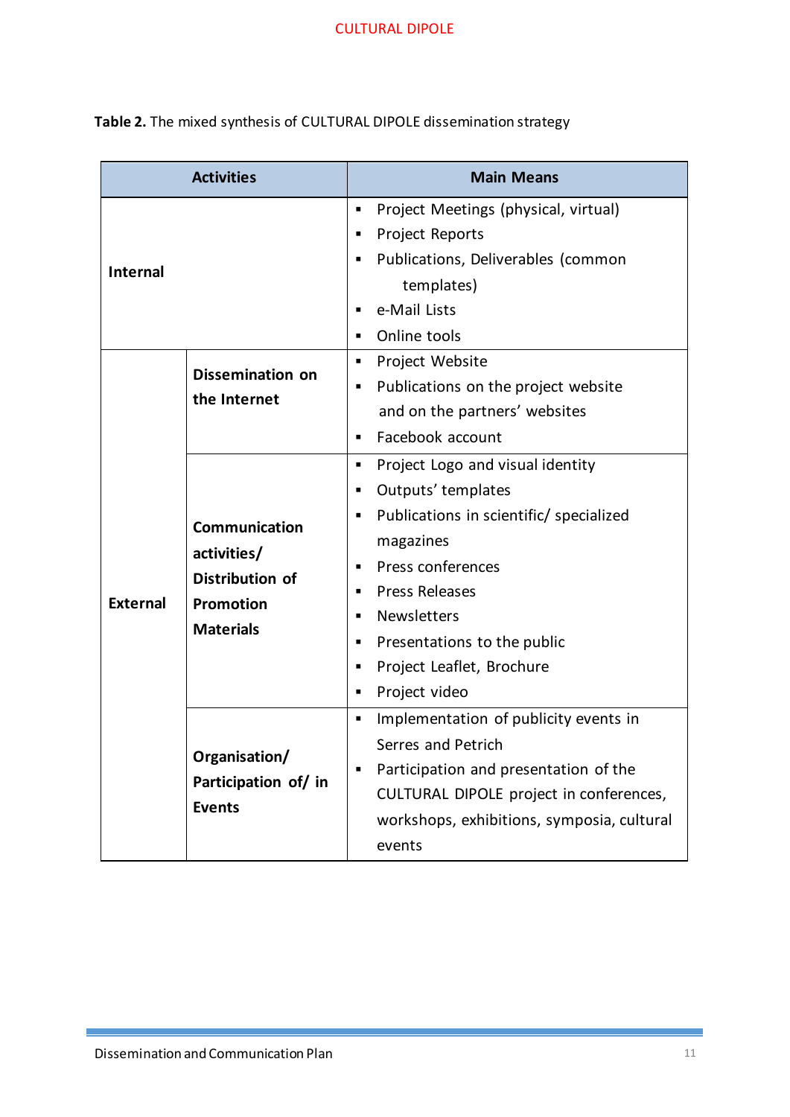|                 | <b>Activities</b>                                                                       | <b>Main Means</b>                                                                                                                                                                                                                                                                                       |  |  |
|-----------------|-----------------------------------------------------------------------------------------|---------------------------------------------------------------------------------------------------------------------------------------------------------------------------------------------------------------------------------------------------------------------------------------------------------|--|--|
| <b>Internal</b> |                                                                                         | Project Meetings (physical, virtual)<br>٠<br><b>Project Reports</b><br>Publications, Deliverables (common<br>templates)<br>e-Mail Lists<br>$\blacksquare$<br>Online tools<br>٠                                                                                                                          |  |  |
|                 | <b>Dissemination on</b><br>the Internet                                                 | Project Website<br>٠<br>Publications on the project website<br>٠<br>and on the partners' websites<br>Facebook account<br>$\blacksquare$                                                                                                                                                                 |  |  |
| <b>External</b> | Communication<br>activities/<br><b>Distribution of</b><br>Promotion<br><b>Materials</b> | Project Logo and visual identity<br>٠<br>Outputs' templates<br>Publications in scientific/ specialized<br>٠<br>magazines<br>Press conferences<br>٠<br><b>Press Releases</b><br>٠<br><b>Newsletters</b><br>٠<br>Presentations to the public<br>٠<br>Project Leaflet, Brochure<br>٠<br>Project video<br>٠ |  |  |
|                 | Organisation/<br>Participation of/ in<br><b>Events</b>                                  | Implementation of publicity events in<br>Serres and Petrich<br>Participation and presentation of the<br>٠<br>CULTURAL DIPOLE project in conferences,<br>workshops, exhibitions, symposia, cultural<br>events                                                                                            |  |  |

**Table 2.** The mixed synthesis of CULTURAL DIPOLE dissemination strategy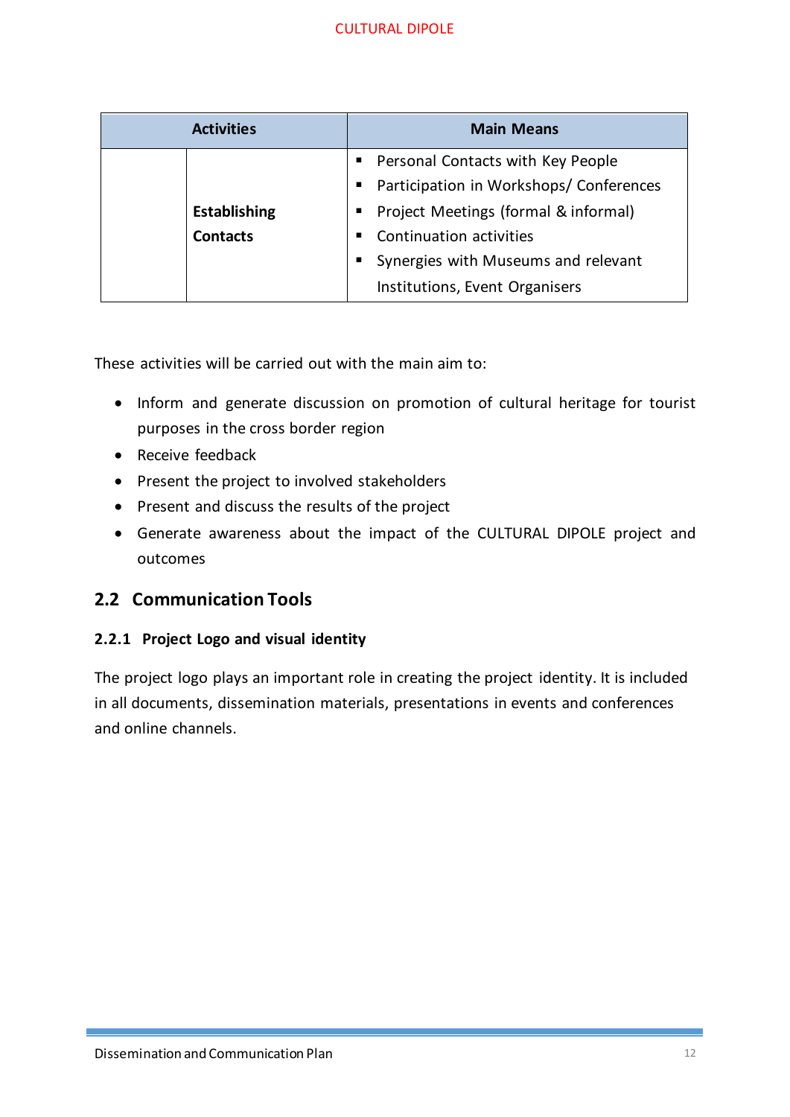| <b>Activities</b>   | <b>Main Means</b>                       |  |  |
|---------------------|-----------------------------------------|--|--|
|                     | • Personal Contacts with Key People     |  |  |
|                     | Participation in Workshops/ Conferences |  |  |
| <b>Establishing</b> | Project Meetings (formal & informal)    |  |  |
| <b>Contacts</b>     | Continuation activities                 |  |  |
|                     | Synergies with Museums and relevant     |  |  |
|                     | Institutions, Event Organisers          |  |  |

These activities will be carried out with the main aim to:

- Inform and generate discussion on promotion of cultural heritage for tourist purposes in the cross border region
- Receive feedback
- Present the project to involved stakeholders
- Present and discuss the results of the project
- Generate awareness about the impact of the CULTURAL DIPOLE project and outcomes

# <span id="page-11-0"></span>**2.2 Communication Tools**

## <span id="page-11-1"></span>**2.2.1 Project Logo and visual identity**

The project logo plays an important role in creating the project identity. It is included in all documents, dissemination materials, presentations in events and conferences and online channels.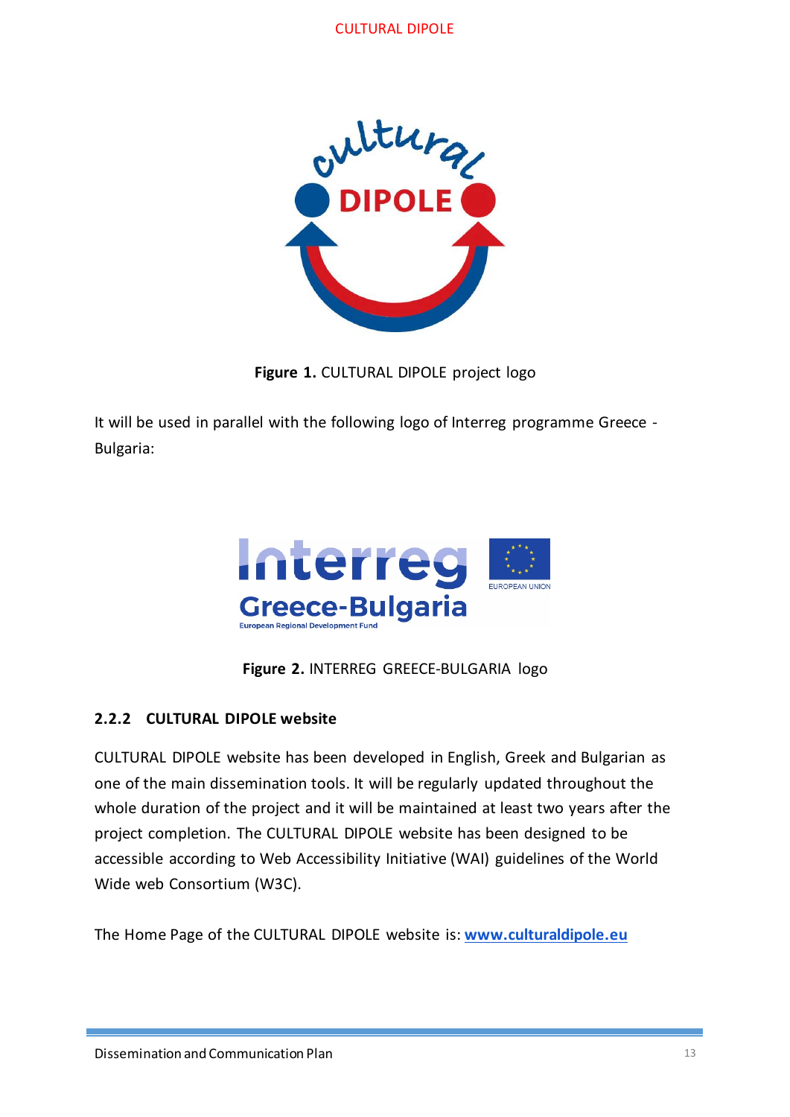

**Figure 1.** CULTURAL DIPOLE project logo

It will be used in parallel with the following logo of Interreg programme Greece - Bulgaria:



**Figure 2.** INTERREG GREECE-BULGARIA logo

## <span id="page-12-0"></span>**2.2.2 CULTURAL DIPOLE website**

CULTURAL DIPOLE website has been developed in English, Greek and Bulgarian as one of the main dissemination tools. It will be regularly updated throughout the whole duration of the project and it will be maintained at least two years after the project completion. The CULTURAL DIPOLE website has been designed to be accessible according to Web Accessibility Initiative (WAI) guidelines of the World Wide web Consortium (W3C).

The Home Page of the CULTURAL DIPOLE website is: **[www.culturaldipole.eu](http://www.culturaldipole.eu/)**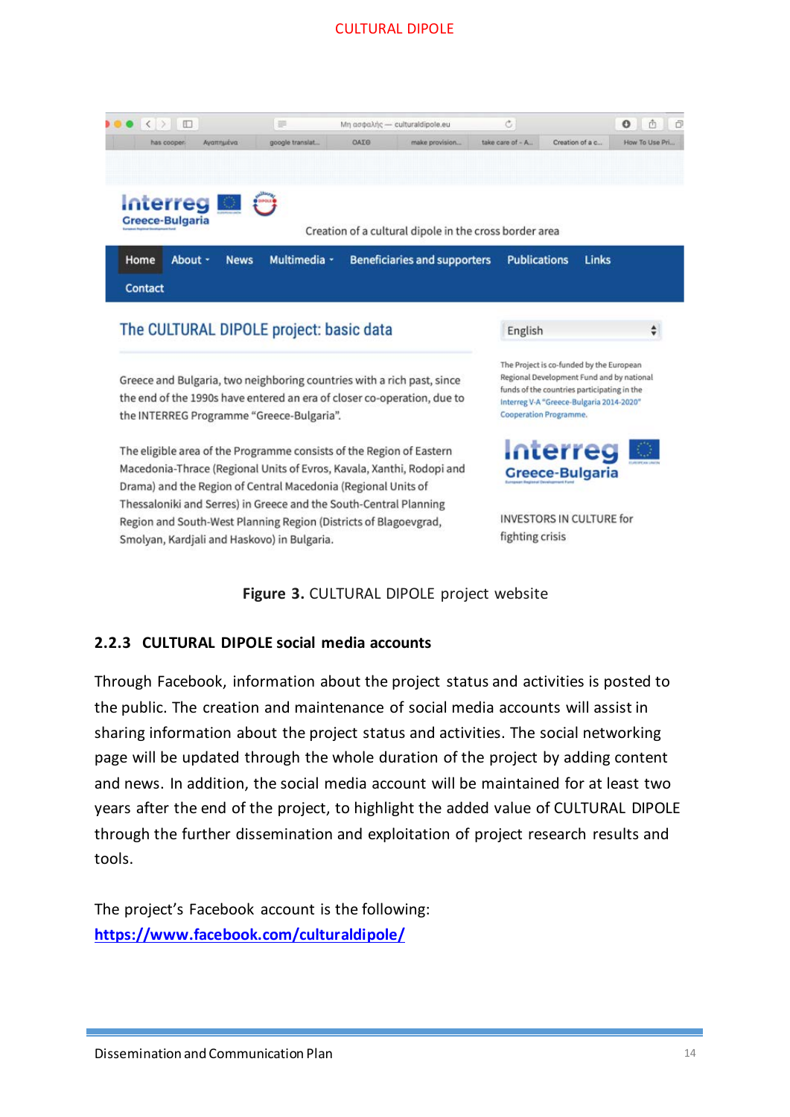

The eligible area of the Programme consists of the Region of Eastern Macedonia-Thrace (Regional Units of Evros, Kavala, Xanthi, Rodopi and Drama) and the Region of Central Macedonia (Regional Units of Thessaloniki and Serres) in Greece and the South-Central Planning Region and South-West Planning Region (Districts of Blagoevgrad, Smolyan, Kardjali and Haskovo) in Bulgaria.

Cooperation Programme.



**INVESTORS IN CULTURE for** fighting crisis

**Figure 3.** CULTURAL DIPOLE project website

#### <span id="page-13-0"></span>**2.2.3 CULTURAL DIPOLE social media accounts**

Through Facebook, information about the project status and activities is posted to the public. The creation and maintenance of social media accounts will assist in sharing information about the project status and activities. The social networking page will be updated through the whole duration of the project by adding content and news. In addition, the social media account will be maintained for at least two years after the end of the project, to highlight the added value of CULTURAL DIPOLE through the further dissemination and exploitation of project research results and tools.

The project's Facebook account is the following: **<https://www.facebook.com/culturaldipole/>**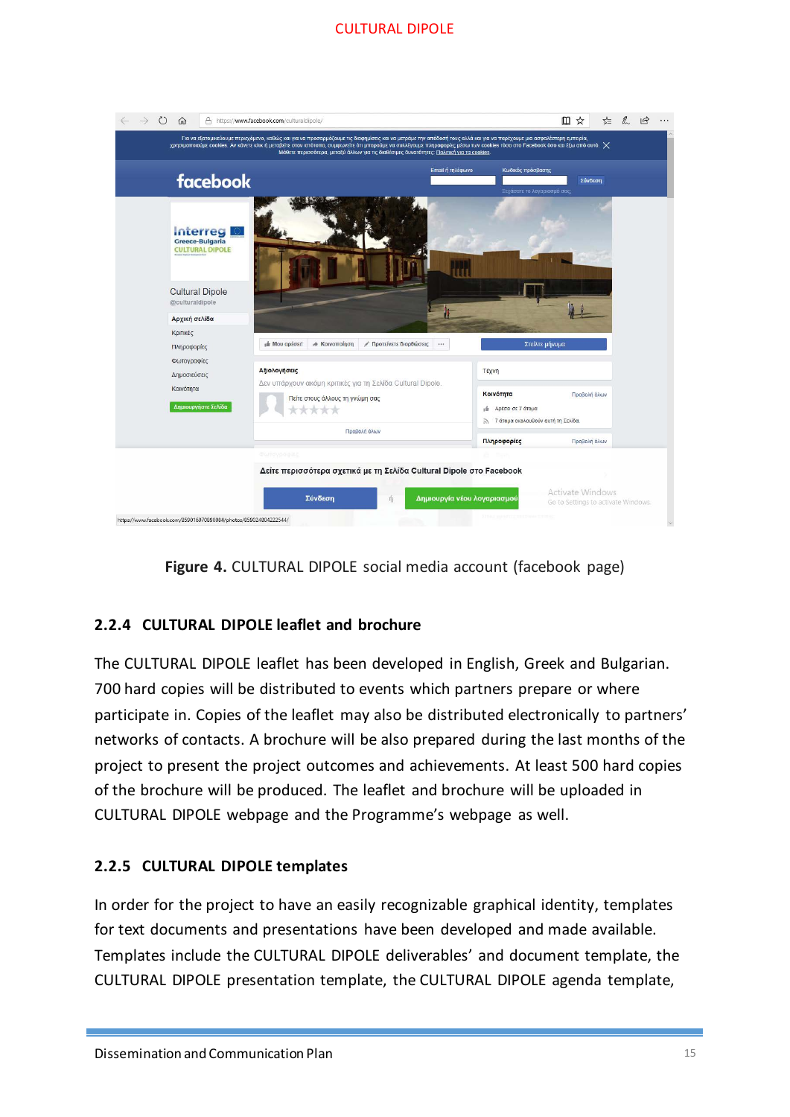



## <span id="page-14-0"></span>**2.2.4 CULTURAL DIPOLE leaflet and brochure**

The CULTURAL DIPOLE leaflet has been developed in English, Greek and Bulgarian. 700 hard copies will be distributed to events which partners prepare or where participate in. Copies of the leaflet may also be distributed electronically to partners' networks of contacts. A brochure will be also prepared during the last months of the project to present the project outcomes and achievements. At least 500 hard copies of the brochure will be produced. The leaflet and brochure will be uploaded in CULTURAL DIPOLE webpage and the Programme's webpage as well.

## <span id="page-14-1"></span>**2.2.5 CULTURAL DIPOLE templates**

In order for the project to have an easily recognizable graphical identity, templates for text documents and presentations have been developed and made available. Templates include the CULTURAL DIPOLE deliverables' and document template, the CULTURAL DIPOLE presentation template, the CULTURAL DIPOLE agenda template,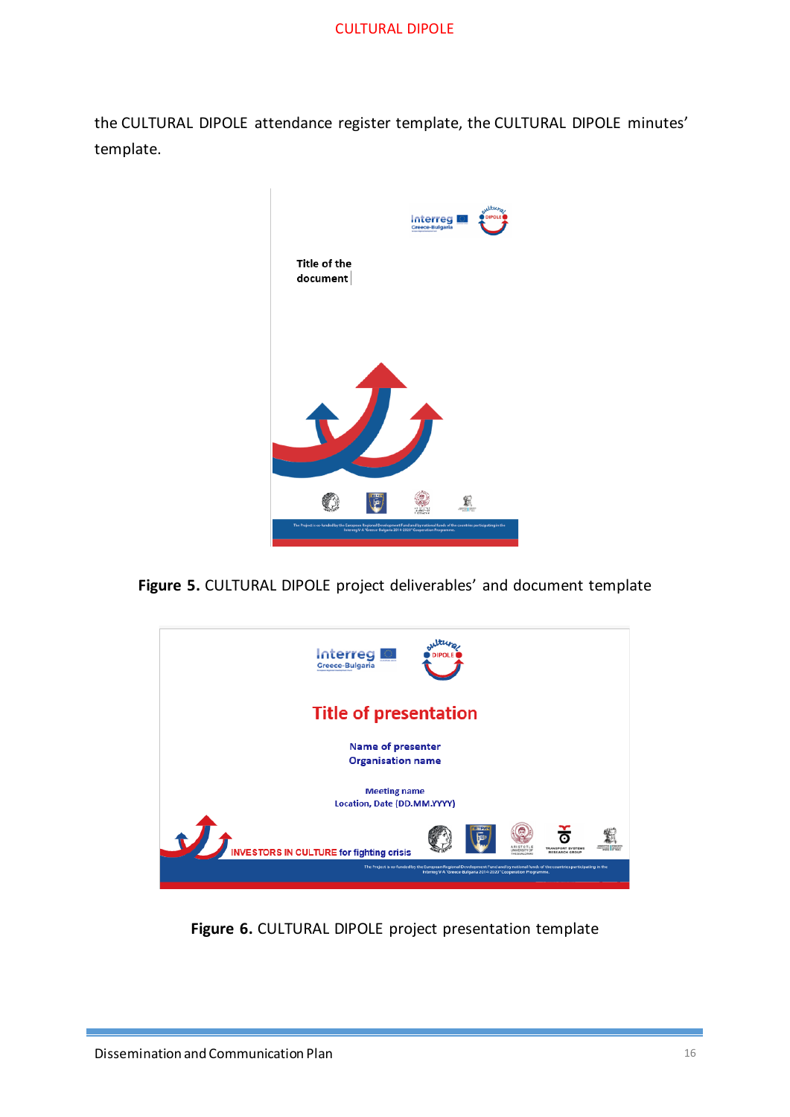the CULTURAL DIPOLE attendance register template, the CULTURAL DIPOLE minutes' template.



**Figure 5.** CULTURAL DIPOLE project deliverables' and document template



**Figure 6.** CULTURAL DIPOLE project presentation template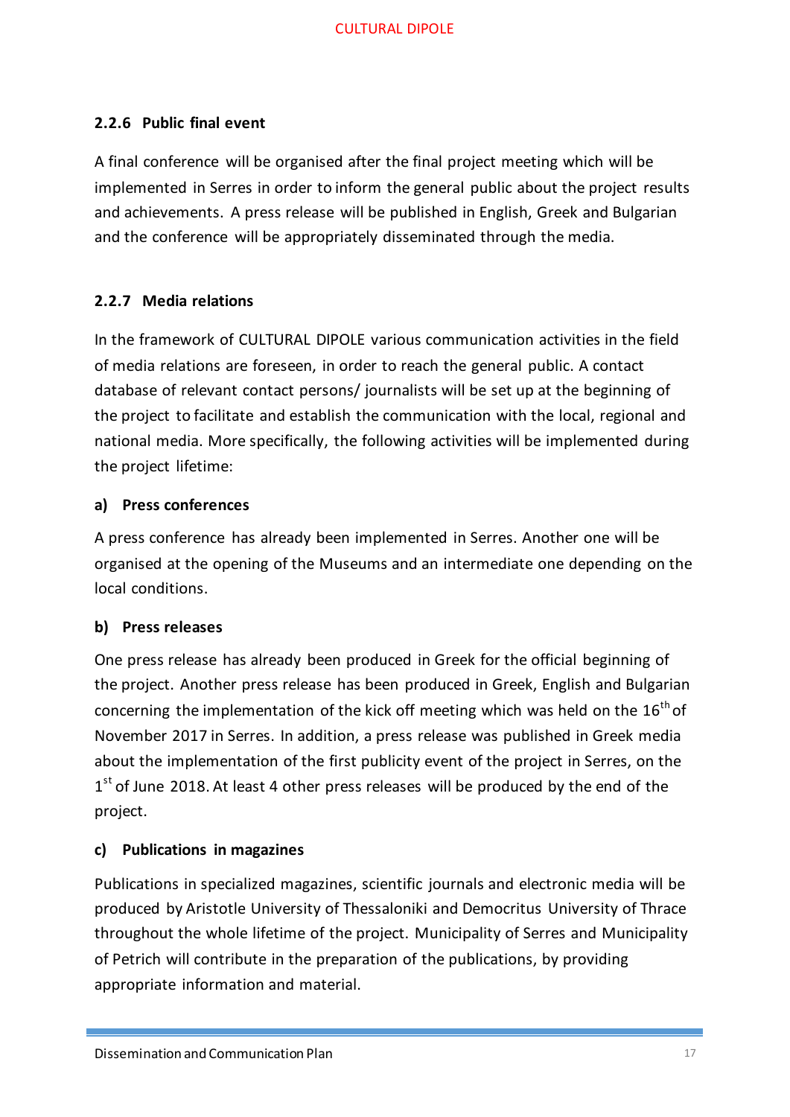## <span id="page-16-0"></span>**2.2.6 Public final event**

A final conference will be organised after the final project meeting which will be implemented in Serres in order to inform the general public about the project results and achievements. A press release will be published in English, Greek and Bulgarian and the conference will be appropriately disseminated through the media.

#### <span id="page-16-1"></span>**2.2.7 Media relations**

In the framework of CULTURAL DIPOLE various communication activities in the field of media relations are foreseen, in order to reach the general public. A contact database of relevant contact persons/ journalists will be set up at the beginning of the project to facilitate and establish the communication with the local, regional and national media. More specifically, the following activities will be implemented during the project lifetime:

#### **a) Press conferences**

A press conference has already been implemented in Serres. Another one will be organised at the opening of the Museums and an intermediate one depending on the local conditions.

## **b) Press releases**

One press release has already been produced in Greek for the official beginning of the project. Another press release has been produced in Greek, English and Bulgarian concerning the implementation of the kick off meeting which was held on the  $16<sup>th</sup>$  of November 2017 in Serres. In addition, a press release was published in Greek media about the implementation of the first publicity event of the project in Serres, on the  $1<sup>st</sup>$  of June 2018. At least 4 other press releases will be produced by the end of the project.

## **c) Publications in magazines**

Publications in specialized magazines, scientific journals and electronic media will be produced by Aristotle University of Thessaloniki and Democritus University of Thrace throughout the whole lifetime of the project. Municipality of Serres and Municipality of Petrich will contribute in the preparation of the publications, by providing appropriate information and material.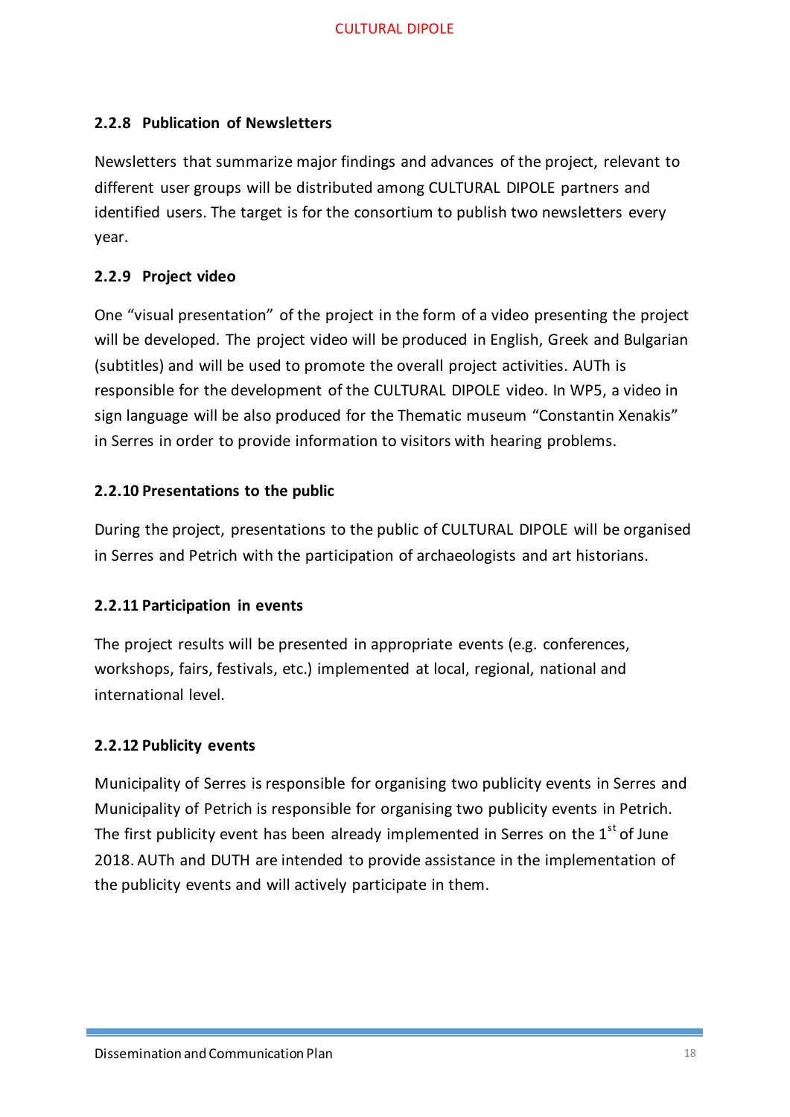## <span id="page-17-0"></span>**2.2.8 Publication of Newsletters**

Newsletters that summarize major findings and advances of the project, relevant to different user groups will be distributed among CULTURAL DIPOLE partners and identified users. The target is for the consortium to publish two newsletters every year.

## <span id="page-17-1"></span>**2.2.9 Project video**

One "visual presentation" of the project in the form of a video presenting the project will be developed. The project video will be produced in English, Greek and Bulgarian (subtitles) and will be used to promote the overall project activities. AUTh is responsible for the development of the CULTURAL DIPOLE video. In WP5, a video in sign language will be also produced for the Thematic museum "Constantin Χenakis" in Serres in order to provide information to visitors with hearing problems.

#### <span id="page-17-2"></span>**2.2.10 Presentations to the public**

During the project, presentations to the public of CULTURAL DIPOLE will be organised in Serres and Petrich with the participation of archaeologists and art historians.

## <span id="page-17-3"></span>**2.2.11 Participation in events**

The project results will be presented in appropriate events (e.g. conferences, workshops, fairs, festivals, etc.) implemented at local, regional, national and international level.

#### <span id="page-17-4"></span>**2.2.12 Publicity events**

Municipality of Serres is responsible for organising two publicity events in Serres and Municipality of Petrich is responsible for organising two publicity events in Petrich. The first publicity event has been already implemented in Serres on the  $1<sup>st</sup>$  of June 2018. AUTh and DUTH are intended to provide assistance in the implementation of the publicity events and will actively participate in them.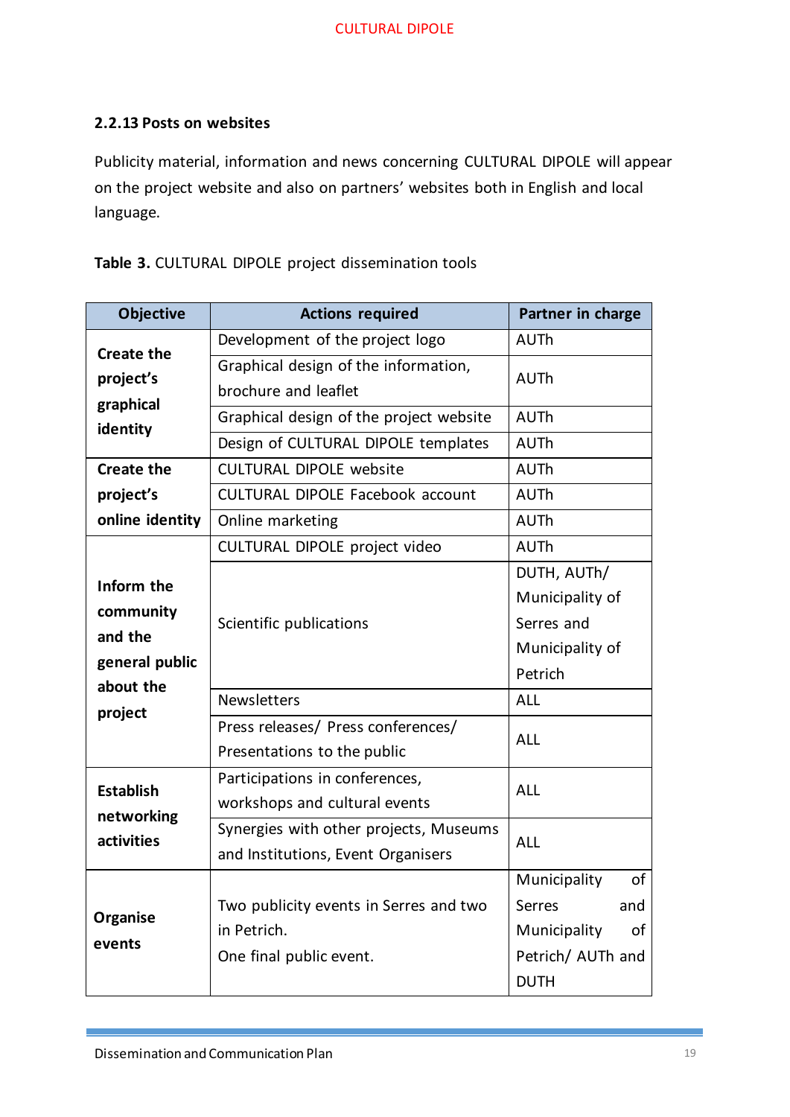#### <span id="page-18-0"></span>**2.2.13 Posts on websites**

Publicity material, information and news concerning CULTURAL DIPOLE will appear on the project website and also on partners' websites both in English and local language.

**Table 3.** CULTURAL DIPOLE project dissemination tools

| <b>Objective</b>  | <b>Actions required</b>                 | Partner in charge  |  |
|-------------------|-----------------------------------------|--------------------|--|
| <b>Create the</b> | Development of the project logo         | <b>AUTh</b>        |  |
| project's         | Graphical design of the information,    | <b>AUTh</b>        |  |
| graphical         | brochure and leaflet                    |                    |  |
| identity          | Graphical design of the project website | <b>AUTh</b>        |  |
|                   | Design of CULTURAL DIPOLE templates     | <b>AUTh</b>        |  |
| <b>Create the</b> | <b>CULTURAL DIPOLE website</b>          | <b>AUTh</b>        |  |
| project's         | <b>CULTURAL DIPOLE Facebook account</b> | <b>AUTh</b>        |  |
| online identity   | Online marketing                        | <b>AUTh</b>        |  |
|                   | CULTURAL DIPOLE project video           | <b>AUTh</b>        |  |
| Inform the        |                                         | DUTH, AUTh/        |  |
| community         |                                         | Municipality of    |  |
| and the           | Scientific publications                 | Serres and         |  |
| general public    |                                         | Municipality of    |  |
| about the         |                                         | Petrich            |  |
| project           | <b>Newsletters</b>                      | <b>ALL</b>         |  |
|                   | Press releases/ Press conferences/      | <b>ALL</b>         |  |
|                   | Presentations to the public             |                    |  |
| <b>Establish</b>  | Participations in conferences,          | <b>ALL</b>         |  |
| networking        | workshops and cultural events           |                    |  |
| activities        | Synergies with other projects, Museums  | <b>ALL</b>         |  |
|                   | and Institutions, Event Organisers      |                    |  |
|                   |                                         | Municipality<br>οf |  |
| Organise          | Two publicity events in Serres and two  | Serres<br>and      |  |
| events            | in Petrich.                             | of<br>Municipality |  |
|                   | One final public event.                 | Petrich/ AUTh and  |  |
|                   |                                         | <b>DUTH</b>        |  |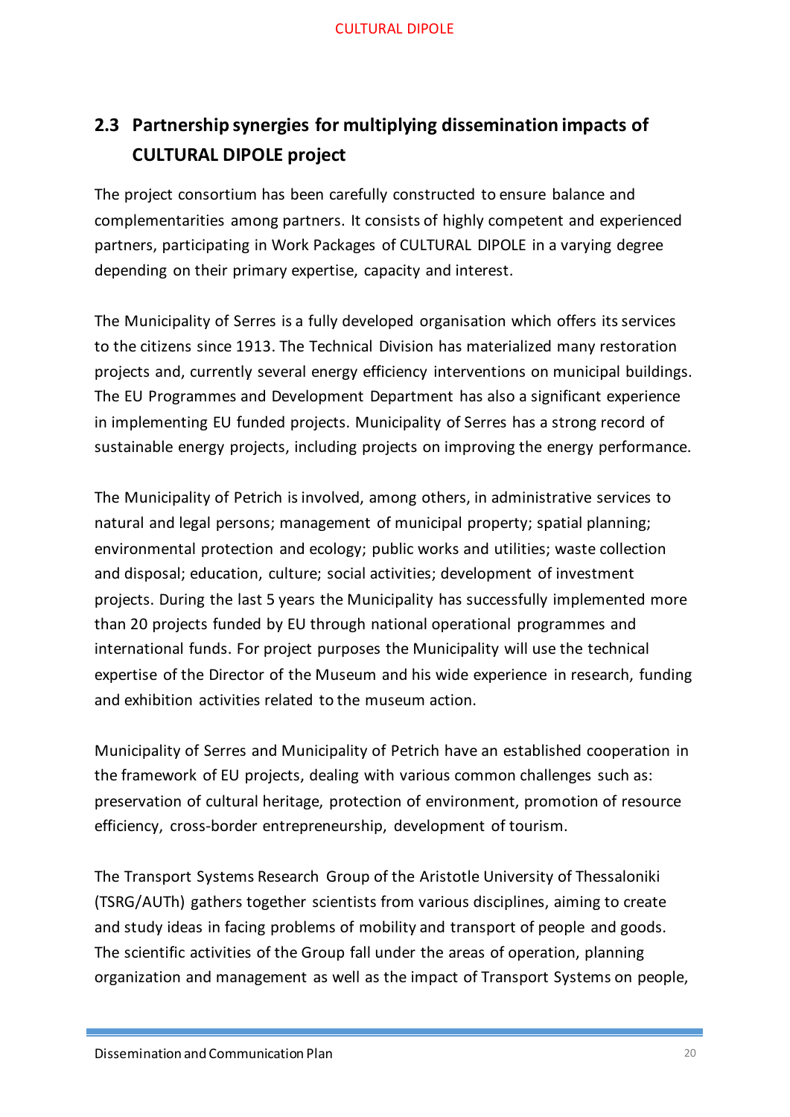# <span id="page-19-0"></span>**2.3 Partnership synergies for multiplying dissemination impacts of CULTURAL DIPOLE project**

The project consortium has been carefully constructed to ensure balance and complementarities among partners. It consists of highly competent and experienced partners, participating in Work Packages of CULTURAL DIPOLE in a varying degree depending on their primary expertise, capacity and interest.

The Municipality of Serres is a fully developed organisation which offers its services to the citizens since 1913. The Technical Division has materialized many restoration projects and, currently several energy efficiency interventions on municipal buildings. The EU Programmes and Development Department has also a significant experience in implementing EU funded projects. Municipality of Serres has a strong record of sustainable energy projects, including projects on improving the energy performance.

The Municipality of Petrich is involved, among others, in administrative services to natural and legal persons; management of municipal property; spatial planning; environmental protection and ecology; public works and utilities; waste collection and disposal; education, culture; social activities; development of investment projects. During the last 5 years the Municipality has successfully implemented more than 20 projects funded by EU through national operational programmes and international funds. For project purposes the Municipality will use the technical expertise of the Director of the Museum and his wide experience in research, funding and exhibition activities related to the museum action.

Municipality of Serres and Municipality of Petrich have an established cooperation in the framework of EU projects, dealing with various common challenges such as: preservation of cultural heritage, protection of environment, promotion of resource efficiency, cross-border entrepreneurship, development of tourism.

The Transport Systems Research Group of the Aristotle University of Thessaloniki (TSRG/AUTh) gathers together scientists from various disciplines, aiming to create and study ideas in facing problems of mobility and transport of people and goods. The scientific activities of the Group fall under the areas of operation, planning organization and management as well as the impact of Transport Systems on people,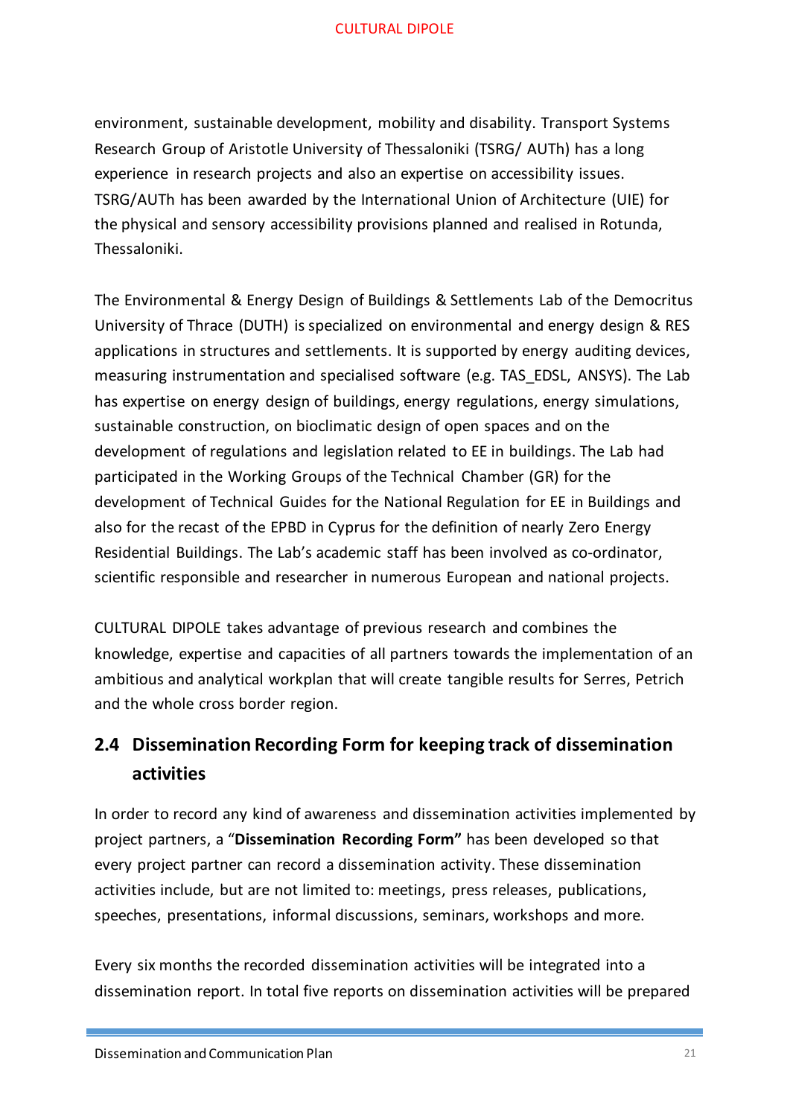environment, sustainable development, mobility and disability. Transport Systems Research Group of Aristotle University of Thessaloniki (TSRG/ AUTh) has a long experience in research projects and also an expertise on accessibility issues. TSRG/AUTh has been awarded by the International Union of Architecture (UIE) for the physical and sensory accessibility provisions planned and realised in Rotunda, Thessaloniki.

The Environmental & Energy Design of Buildings & Settlements Lab of the Democritus University of Thrace (DUTH) is specialized on environmental and energy design & RES applications in structures and settlements. It is supported by energy auditing devices, measuring instrumentation and specialised software (e.g. TAS\_EDSL, ANSYS). The Lab has expertise on energy design of buildings, energy regulations, energy simulations, sustainable construction, on bioclimatic design of open spaces and on the development of regulations and legislation related to EE in buildings. The Lab had participated in the Working Groups of the Technical Chamber (GR) for the development of Technical Guides for the National Regulation for EE in Buildings and also for the recast of the EPBD in Cyprus for the definition of nearly Zero Energy Residential Buildings. The Lab's academic staff has been involved as co-ordinator, scientific responsible and researcher in numerous European and national projects.

CULTURAL DIPOLE takes advantage of previous research and combines the knowledge, expertise and capacities of all partners towards the implementation of an ambitious and analytical workplan that will create tangible results for Serres, Petrich and the whole cross border region.

# <span id="page-20-0"></span>**2.4 Dissemination Recording Form for keeping track of dissemination activities**

In order to record any kind of awareness and dissemination activities implemented by project partners, a "**Dissemination Recording Form"** has been developed so that every project partner can record a dissemination activity. These dissemination activities include, but are not limited to: meetings, press releases, publications, speeches, presentations, informal discussions, seminars, workshops and more.

Every six months the recorded dissemination activities will be integrated into a dissemination report. In total five reports on dissemination activities will be prepared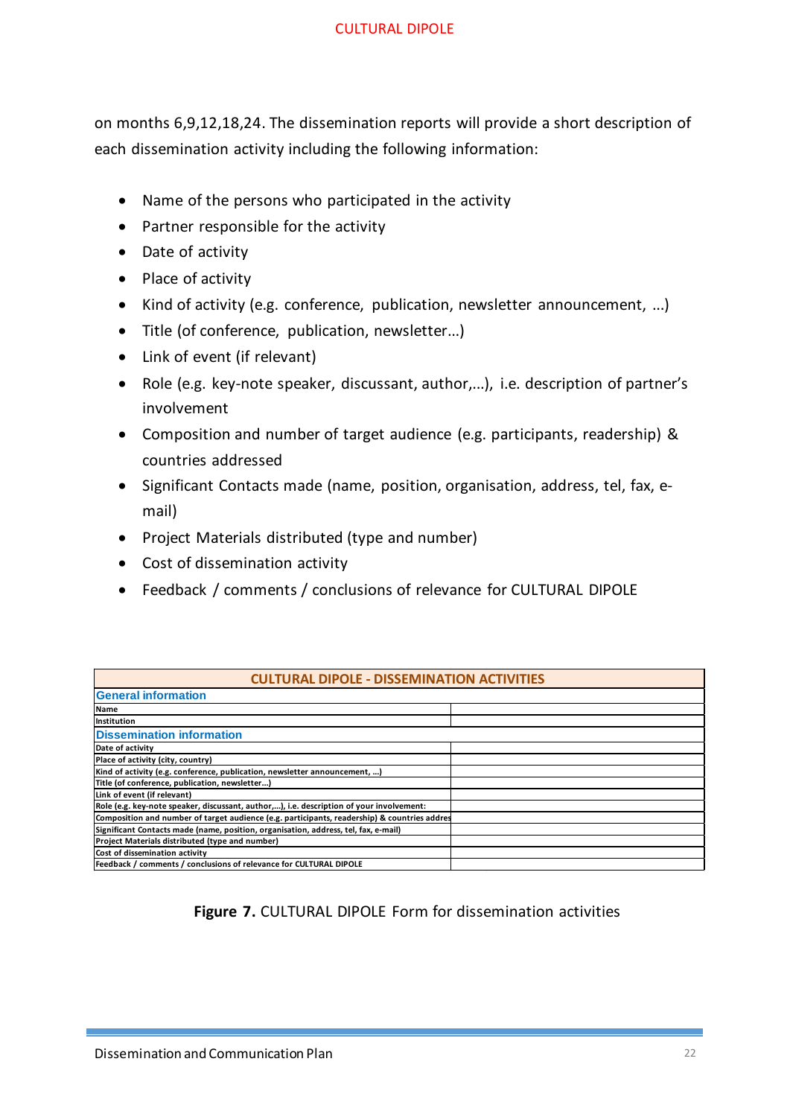on months 6,9,12,18,24. The dissemination reports will provide a short description of each dissemination activity including the following information:

- Name of the persons who participated in the activity
- Partner responsible for the activity
- Date of activity
- Place of activity
- Kind of activity (e.g. conference, publication, newsletter announcement, ...)
- Title (of conference, publication, newsletter...)
- Link of event (if relevant)
- Role (e.g. key-note speaker, discussant, author,...), i.e. description of partner's involvement
- Composition and number of target audience (e.g. participants, readership) & countries addressed
- Significant Contacts made (name, position, organisation, address, tel, fax, email)
- Project Materials distributed (type and number)
- Cost of dissemination activity
- Feedback / comments / conclusions of relevance for CULTURAL DIPOLE

| <b>CULTURAL DIPOLE - DISSEMINATION ACTIVITIES</b>                                            |  |  |  |
|----------------------------------------------------------------------------------------------|--|--|--|
| <b>General information</b>                                                                   |  |  |  |
| <b>Name</b>                                                                                  |  |  |  |
| Institution                                                                                  |  |  |  |
| <b>Dissemination information</b>                                                             |  |  |  |
| Date of activity                                                                             |  |  |  |
| Place of activity (city, country)                                                            |  |  |  |
| Kind of activity (e.g. conference, publication, newsletter announcement, )                   |  |  |  |
| Title (of conference, publication, newsletter)                                               |  |  |  |
| Link of event (if relevant)                                                                  |  |  |  |
| Role (e.g. key-note speaker, discussant, author,), i.e. description of your involvement:     |  |  |  |
| Composition and number of target audience (e.g. participants, readership) & countries addres |  |  |  |
| Significant Contacts made (name, position, organisation, address, tel, fax, e-mail)          |  |  |  |
| Project Materials distributed (type and number)                                              |  |  |  |
| Cost of dissemination activity                                                               |  |  |  |
| Feedback / comments / conclusions of relevance for CULTURAL DIPOLE                           |  |  |  |

#### **Figure 7.** CULTURAL DIPOLE Form for dissemination activities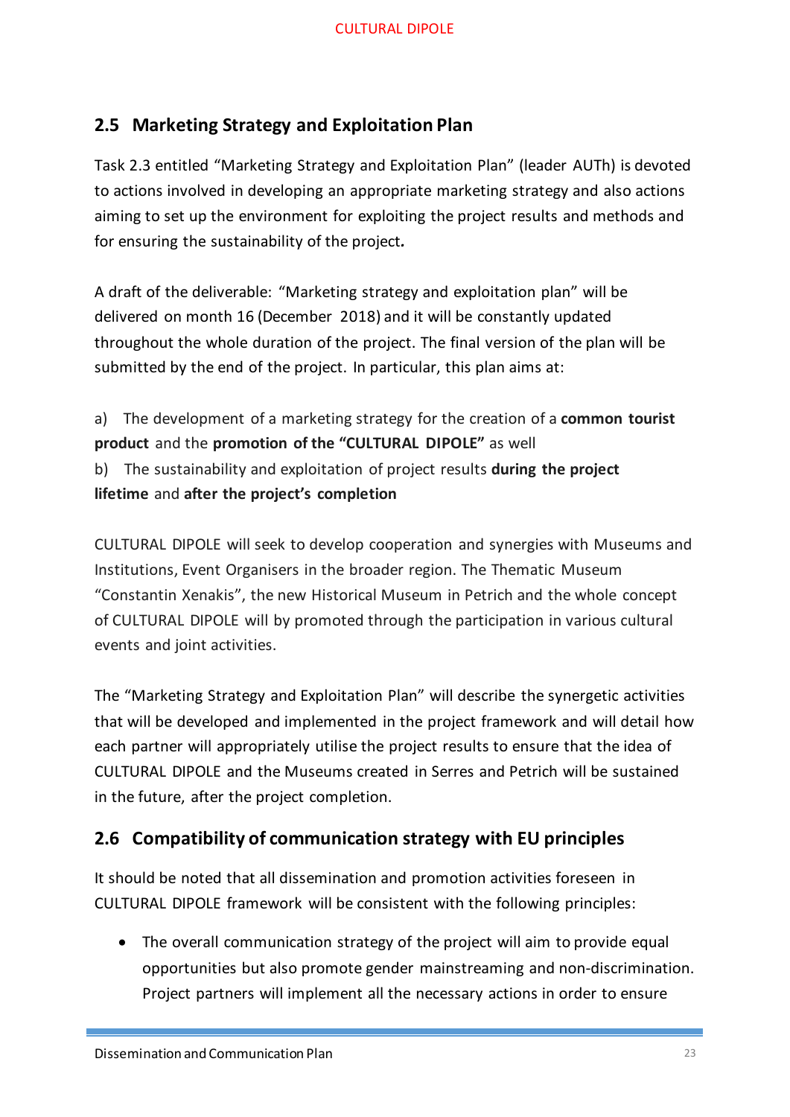# <span id="page-22-0"></span>**2.5 Marketing Strategy and Exploitation Plan**

Task 2.3 entitled "Marketing Strategy and Exploitation Plan" (leader AUTh) is devoted to actions involved in developing an appropriate marketing strategy and also actions aiming to set up the environment for exploiting the project results and methods and for ensuring the sustainability of the project*.*

A draft of the deliverable: "Marketing strategy and exploitation plan" will be delivered on month 16 (December 2018) and it will be constantly updated throughout the whole duration of the project. The final version of the plan will be submitted by the end of the project. In particular, this plan aims at:

a) The development of a marketing strategy for the creation of a **common tourist product** and the **promotion of the "CULTURAL DIPOLE"** as well b) The sustainability and exploitation of project results **during the project lifetime** and **after the project's completion**

CULTURAL DIPOLE will seek to develop cooperation and synergies with Museums and Institutions, Event Organisers in the broader region. The Thematic Museum "Constantin Xenakis", the new Historical Museum in Petrich and the whole concept of CULTURAL DIPOLE will by promoted through the participation in various cultural events and joint activities.

The "Marketing Strategy and Exploitation Plan" will describe the synergetic activities that will be developed and implemented in the project framework and will detail how each partner will appropriately utilise the project results to ensure that the idea of CULTURAL DIPOLE and the Museums created in Serres and Petrich will be sustained in the future, after the project completion.

# <span id="page-22-1"></span>**2.6 Compatibility of communication strategy with EU principles**

It should be noted that all dissemination and promotion activities foreseen in CULTURAL DIPOLE framework will be consistent with the following principles:

• The overall communication strategy of the project will aim to provide equal opportunities but also promote gender mainstreaming and non-discrimination. Project partners will implement all the necessary actions in order to ensure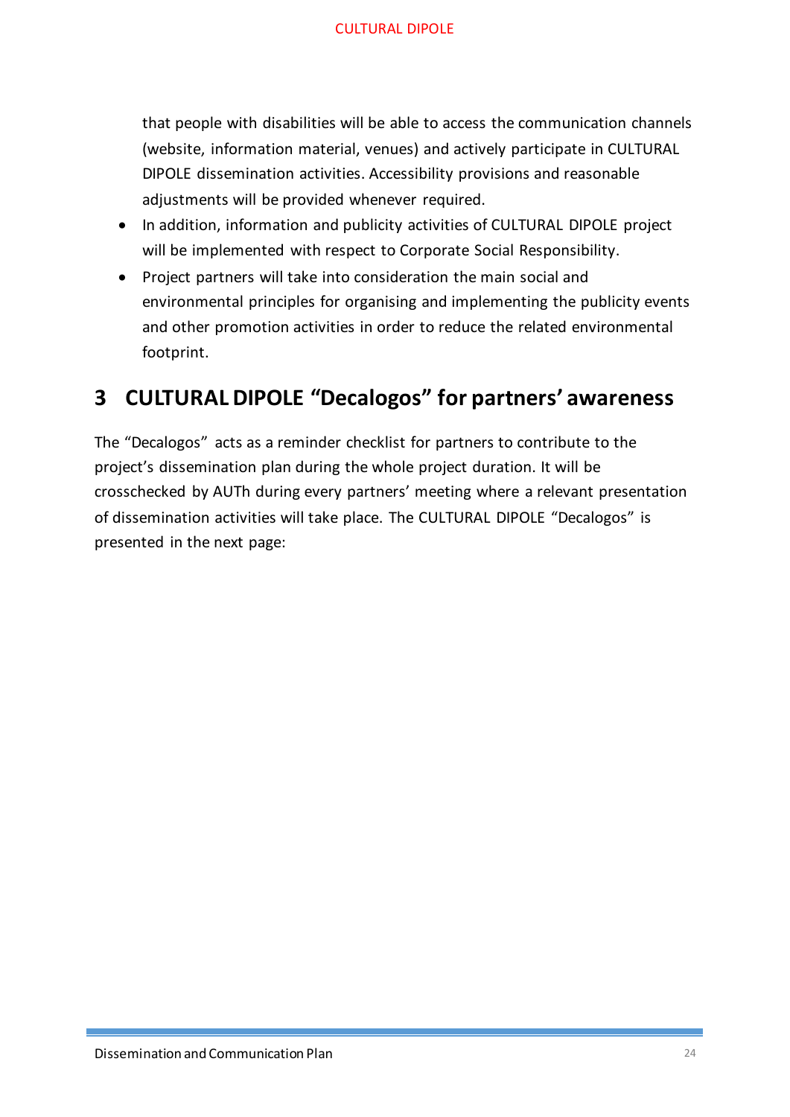that people with disabilities will be able to access the communication channels (website, information material, venues) and actively participate in CULTURAL DIPOLE dissemination activities. Accessibility provisions and reasonable adjustments will be provided whenever required.

- In addition, information and publicity activities of CULTURAL DIPOLE project will be implemented with respect to Corporate Social Responsibility.
- Project partners will take into consideration the main social and environmental principles for organising and implementing the publicity events and other promotion activities in order to reduce the related environmental footprint.

# <span id="page-23-0"></span>**3 CULTURAL DIPOLE "Decalogos" for partners' awareness**

The "Decalogos" acts as a reminder checklist for partners to contribute to the project's dissemination plan during the whole project duration. It will be crosschecked by AUTh during every partners' meeting where a relevant presentation of dissemination activities will take place. The CULTURAL DIPOLE "Decalogos" is presented in the next page: